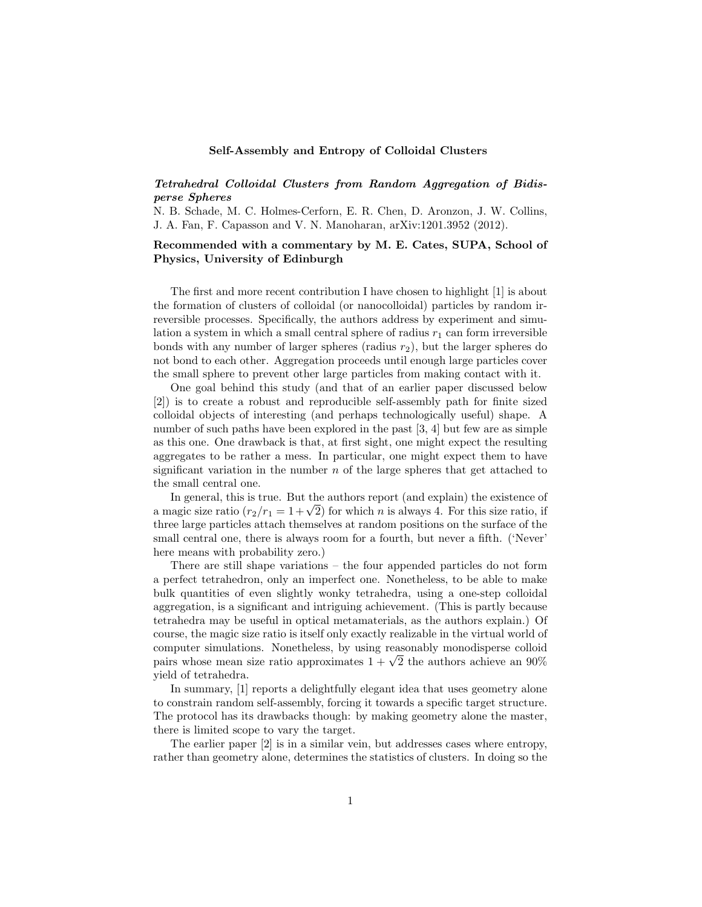## Self-Assembly and Entropy of Colloidal Clusters

## *Tetrahedral Colloidal Clusters from Random Aggregation of Bidisperse Spheres*

N. B. Schade, M. C. Holmes-Cerforn, E. R. Chen, D. Aronzon, J. W. Collins, J. A. Fan, F. Capasson and V. N. Manoharan, arXiv:1201.3952 (2012).

## Recommended with a commentary by M. E. Cates, SUPA, School of Physics, University of Edinburgh

The first and more recent contribution I have chosen to highlight [\[1\]](#page-2-0) is about the formation of clusters of colloidal (or nanocolloidal) particles by random irreversible processes. Specifically, the authors address by experiment and simulation a system in which a small central sphere of radius  $r_1$  can form irreversible bonds with any number of larger spheres (radius  $r_2$ ), but the larger spheres do not bond to each other. Aggregation proceeds until enough large particles cover the small sphere to prevent other large particles from making contact with it.

One goal behind this study (and that of an earlier paper discussed below [\[2\]](#page-2-1)) is to create a robust and reproducible self-assembly path for finite sized colloidal objects of interesting (and perhaps technologically useful) shape. A number of such paths have been explored in the past [\[3,](#page-2-2) [4\]](#page-2-3) but few are as simple as this one. One drawback is that, at first sight, one might expect the resulting aggregates to be rather a mess. In particular, one might expect them to have significant variation in the number *n* of the large spheres that get attached to the small central one.

In general, this is true. But the authors report (and explain) the existence of a magic size ratio  $(r_2/r_1 = 1+\sqrt{2})$  for which *n* is always 4. For this size ratio, if three large particles attach themselves at random positions on the surface of the small central one, there is always room for a fourth, but never a fifth. ('Never' here means with probability zero.)

There are still shape variations – the four appended particles do not form a perfect tetrahedron, only an imperfect one. Nonetheless, to be able to make bulk quantities of even slightly wonky tetrahedra, using a one-step colloidal aggregation, is a significant and intriguing achievement. (This is partly because tetrahedra may be useful in optical metamaterials, as the authors explain.) Of course, the magic size ratio is itself only exactly realizable in the virtual world of computer simulations. Nonetheless, by using reasonably monodisperse colloid pairs whose mean size ratio approximates  $1 + \sqrt{2}$  the authors achieve an 90% yield of tetrahedra.

In summary, [\[1\]](#page-2-0) reports a delightfully elegant idea that uses geometry alone to constrain random self-assembly, forcing it towards a specific target structure. The protocol has its drawbacks though: by making geometry alone the master, there is limited scope to vary the target.

The earlier paper [\[2\]](#page-2-1) is in a similar vein, but addresses cases where entropy, rather than geometry alone, determines the statistics of clusters. In doing so the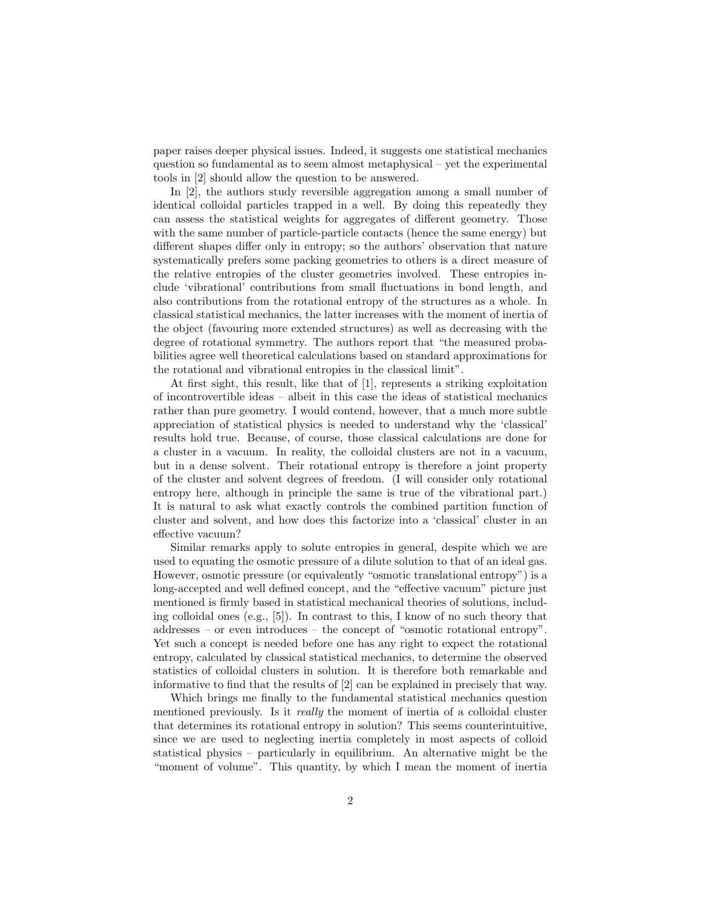paper raises deeper physical issues. Indeed, it suggests one statistical mechanics question so fundamental as to seem almost metaphysical – yet the experimental tools in [\[2\]](#page-2-1) should allow the question to be answered.

In [\[2\]](#page-2-1), the authors study reversible aggregation among a small number of identical colloidal particles trapped in a well. By doing this repeatedly they can assess the statistical weights for aggregates of different geometry. Those with the same number of particle-particle contacts (hence the same energy) but different shapes differ only in entropy; so the authors' observation that nature systematically prefers some packing geometries to others is a direct measure of the relative entropies of the cluster geometries involved. These entropies include 'vibrational' contributions from small fluctuations in bond length, and also contributions from the rotational entropy of the structures as a whole. In classical statistical mechanics, the latter increases with the moment of inertia of the object (favouring more extended structures) as well as decreasing with the degree of rotational symmetry. The authors report that "the measured probabilities agree well theoretical calculations based on standard approximations for the rotational and vibrational entropies in the classical limit".

At first sight, this result, like that of [\[1\]](#page-2-0), represents a striking exploitation of incontrovertible ideas – albeit in this case the ideas of statistical mechanics rather than pure geometry. I would contend, however, that a much more subtle appreciation of statistical physics is needed to understand why the 'classical' results hold true. Because, of course, those classical calculations are done for a cluster in a vacuum. In reality, the colloidal clusters are not in a vacuum, but in a dense solvent. Their rotational entropy is therefore a joint property of the cluster and solvent degrees of freedom. (I will consider only rotational entropy here, although in principle the same is true of the vibrational part.) It is natural to ask what exactly controls the combined partition function of cluster and solvent, and how does this factorize into a 'classical' cluster in an effective vacuum?

Similar remarks apply to solute entropies in general, despite which we are used to equating the osmotic pressure of a dilute solution to that of an ideal gas. However, osmotic pressure (or equivalently "osmotic translational entropy") is a long-accepted and well defined concept, and the "effective vacuum" picture just mentioned is firmly based in statistical mechanical theories of solutions, including colloidal ones (e.g., [\[5\]](#page-2-4)). In contrast to this, I know of no such theory that addresses – or even introduces – the concept of "osmotic rotational entropy". Yet such a concept is needed before one has any right to expect the rotational entropy, calculated by classical statistical mechanics, to determine the observed statistics of colloidal clusters in solution. It is therefore both remarkable and informative to find that the results of [\[2\]](#page-2-1) can be explained in precisely that way.

Which brings me finally to the fundamental statistical mechanics question mentioned previously. Is it *really* the moment of inertia of a colloidal cluster that determines its rotational entropy in solution? This seems counterintuitive, since we are used to neglecting inertia completely in most aspects of colloid statistical physics – particularly in equilibrium. An alternative might be the "moment of volume". This quantity, by which I mean the moment of inertia